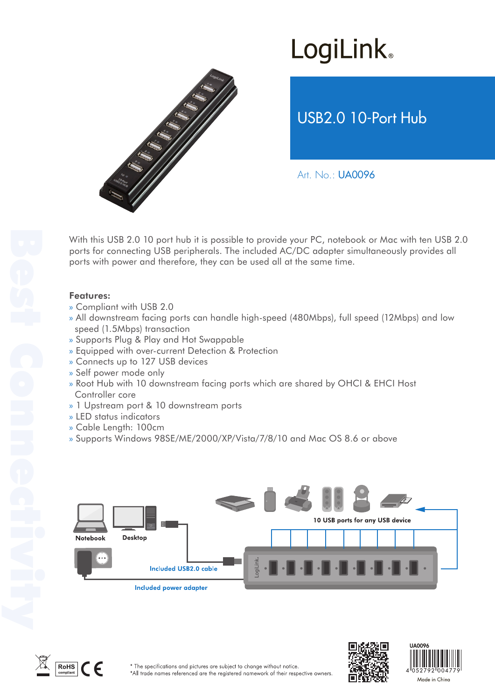# **LogiLink**



USB2.0 10-Port Hub

Art. No.: UA0096

With this USB 2.0 10 port hub it is possible to provide your PC, notebook or Mac with ten USB 2.0 ports for connecting USB peripherals. The included AC/DC adapter simultaneously provides all ports with power and therefore, they can be used all at the same time.

### Features:

- » Compliant with USB 2.0
- » All downstream facing ports can handle high-speed (480Mbps), full speed (12Mbps) and low speed (1.5Mbps) transaction
- » Supports Plug & Play and Hot Swappable
- » Equipped with over-current Detection & Protection
- » Connects up to 127 USB devices
- » Self power mode only
- » Root Hub with 10 downstream facing ports which are shared by OHCI & EHCI Host Controller core
- » 1 Upstream port & 10 downstream ports
- » LED status indicators
- » Cable Length: 100cm
- » Supports Windows 98SE/ME/2000/XP/Vista/7/8/10 and Mac OS 8.6 or above